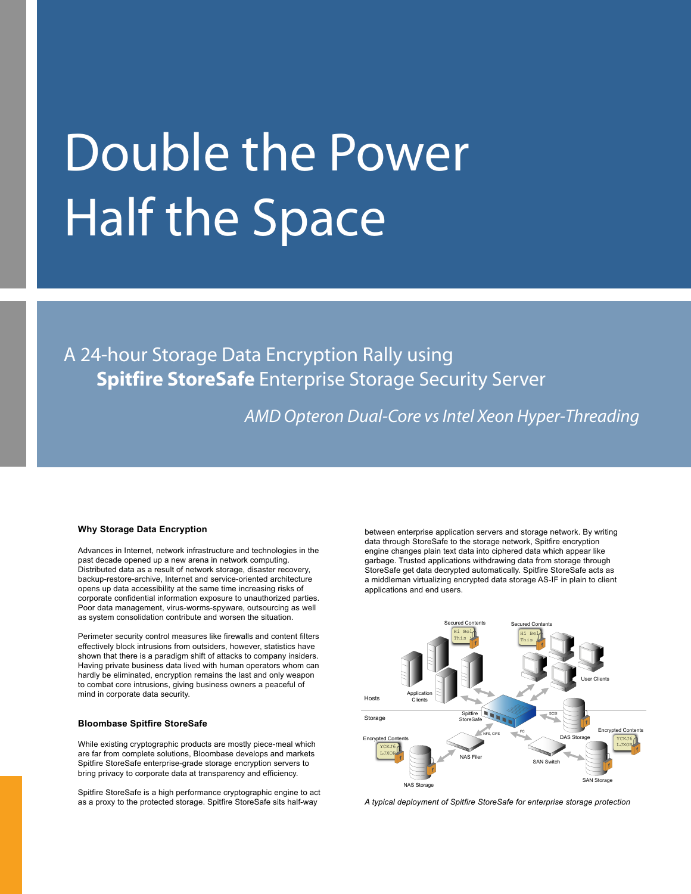# Double the Power Half the Space

A 24-hour Storage Data Encryption Rally using **Spitfire StoreSafe** Enterprise Storage Security Server

*AMD Opteron Dual-Core vsIntel Xeon Hyper-Threading*

#### **Why Storage Data Encryption**

Advances in Internet, network infrastructure and technologies in the past decade opened up a new arena in network computing. Distributed data as a result of network storage, disaster recovery, backup-restore-archive, Internet and service-oriented architecture opens up data accessibility at the same time increasing risks of corporate confidential information exposure to unauthorized parties. Poor data management, virus-worms-spyware, outsourcing as well as system consolidation contribute and worsen the situation.

Perimeter security control measures like firewalls and content filters effectively block intrusions from outsiders, however, statistics have shown that there is a paradigm shift of attacks to company insiders. Having private business data lived with human operators whom can hardly be eliminated, encryption remains the last and only weapon to combat core intrusions, giving business owners a peaceful of mind in corporate data security.

## **Bloombase Spitfire StoreSafe**

While existing cryptographic products are mostly piece-meal which are far from complete solutions, Bloombase develops and markets Spitfire StoreSafe enterprise-grade storage encryption servers to bring privacy to corporate data at transparency and efficiency.

Spitfire StoreSafe is a high performance cryptographic engine to act as a proxy to the protected storage. Spitfire StoreSafe sits half-way

between enterprise application servers and storage network. By writing data through StoreSafe to the storage network, Spitfire encryption engine changes plain text data into ciphered data which appear like garbage. Trusted applications withdrawing data from storage through StoreSafe get data decrypted automatically. Spitfire StoreSafe acts as a middleman virtualizing encrypted data storage AS-IF in plain to client applications and end users.



*A typical deployment of Spitfire StoreSafe for enterprise storage protection*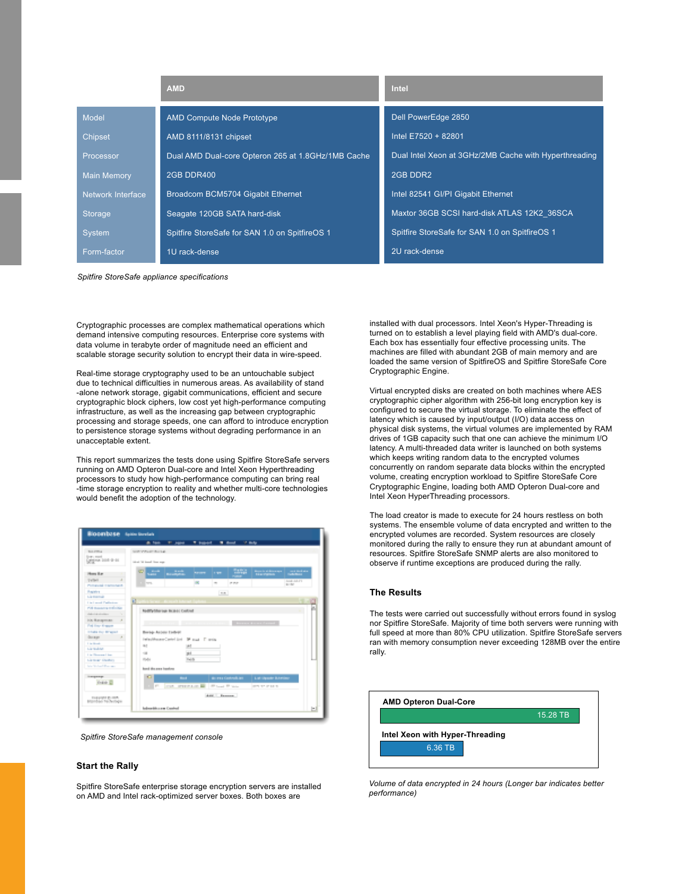|                    | <b>AMD</b>                                         | Intel                                                 |  |  |  |  |
|--------------------|----------------------------------------------------|-------------------------------------------------------|--|--|--|--|
| <b>Model</b>       | <b>AMD Compute Node Prototype</b>                  | Dell PowerEdge 2850                                   |  |  |  |  |
| <b>Chipset</b>     | AMD 8111/8131 chipset                              | Intel E7520 + 82801                                   |  |  |  |  |
| Processor          | Dual AMD Dual-core Opteron 265 at 1.8GHz/1MB Cache | Dual Intel Xeon at 3GHz/2MB Cache with Hyperthreading |  |  |  |  |
| <b>Main Memory</b> | <b>2GB DDR400</b>                                  | 2GB DDR2                                              |  |  |  |  |
| Network Interface  | Broadcom BCM5704 Gigabit Ethernet                  | Intel 82541 GI/PI Gigabit Ethernet                    |  |  |  |  |
| <b>Storage</b>     | Seagate 120GB SATA hard-disk                       | Maxtor 36GB SCSI hard-disk ATLAS 12K2 36SCA           |  |  |  |  |
| System             | Spitfire StoreSafe for SAN 1.0 on SpitfireOS 1     | Spitfire StoreSafe for SAN 1.0 on SpitfireOS 1        |  |  |  |  |
| Form-factor        | 1U rack-dense                                      | 2U rack-dense                                         |  |  |  |  |

*Spitfire StoreSafe appliance specifications*

Cryptographic processes are complex mathematical operations which demand intensive computing resources. Enterprise core systems with data volume in terabyte order of magnitude need an efficient and scalable storage security solution to encrypt their data in wire-speed.

Real-time storage cryptography used to be an untouchable subject due to technical difficulties in numerous areas. As availability of stand -alone network storage, gigabit communications, efficient and secure cryptographic block ciphers, low cost yet high-performance computing infrastructure, as well as the increasing gap between cryptographic processing and storage speeds, one can afford to introduce encryption to persistence storage systems without degrading performance in an unacceptable extent.

This report summarizes the tests done using Spitfire StoreSafe servers running on AMD Opteron Dual-core and Intel Xeon Hyperthreading processors to study how high-performance computing can bring real -time storage encryption to reality and whether multi-core technologies would benefit the adoption of the technology.

|                                             | A few IT sees                            |             | <b>T</b> believed            | $\overline{\phantom{a}}$ | <b>COMPANY</b>       |                                   |                    |  |
|---------------------------------------------|------------------------------------------|-------------|------------------------------|--------------------------|----------------------|-----------------------------------|--------------------|--|
| <b>SLLPRIA</b>                              | <b>SECONDENIA</b>                        |             |                              |                          |                      |                                   |                    |  |
| <b>Drawn month</b><br><b>Segme 100-9-10</b> | ideal '60 local line way.                |             |                              |                          |                      |                                   |                    |  |
| Home Hart                                   | œ<br>$-$<br><b>Sales</b>                 | mitte       | <b>Norwei</b>                | <b>In the </b>           | <b>Cancer</b>        | <b>TELEVISION</b>                 | alan "             |  |
| Tylled<br>$\overline{a}$                    | w.                                       |             | œ                            | $\sim$                   | PRF                  |                                   | 318.5371<br>ALC NO |  |
| Police and in articular in-                 |                                          |             |                              |                          |                      |                                   |                    |  |
| <b>Replies</b><br>Lis manual                | $-1$                                     |             |                              |                          |                      |                                   |                    |  |
| <b>Link Local Publicity</b>                 | the control of the second control of     |             |                              |                          |                      |                                   |                    |  |
| <b>POI manager and chief</b>                |                                          |             |                              |                          |                      |                                   |                    |  |
| dealership and subjects                     | <b>RedPartiller out Incident Conford</b> |             |                              |                          |                      |                                   |                    |  |
| <b>IOS Rangerose</b><br>٠                   |                                          |             |                              |                          |                      |                                   |                    |  |
| Foll Free Krasser                           |                                          |             |                              |                          |                      | <b>Contract Contract Contract</b> |                    |  |
| <b>STARS For Wingsatt</b>                   | Boriole-Anders Endered                   |             |                              |                          |                      |                                   |                    |  |
| dozen.                                      | interdiment Center and 19 mail 17 main.  |             |                              |                          |                      |                                   |                    |  |
| <b>Continued</b>                            | <b>W</b><br>固                            |             |                              |                          |                      |                                   |                    |  |
| Listenberg                                  | $\rightarrow$                            |             | int.                         |                          |                      |                                   |                    |  |
| Line Morrows Library<br>La sua Galeri       | 1541                                     |             | <b>NA</b>                    |                          |                      |                                   |                    |  |
| Ma Wilson Roomer                            |                                          |             |                              |                          |                      |                                   |                    |  |
|                                             | look the exp basical                     |             |                              |                          |                      |                                   |                    |  |
| inexpense.                                  | a                                        | $-1$        |                              |                          | do esta Contradición | Lat-Vasakr B.tm                   |                    |  |
| <b>Index III</b>                            | gar.                                     | <b>COLE</b> | STEPLIN III - Planet Printer |                          |                      | <b>SERVICE STATE</b>              |                    |  |
| <b>ELEVING BLOCK</b><br>provided to bettery |                                          |             |                              | Act Expose               |                      |                                   |                    |  |

## *Spitfire StoreSafe management console*

#### **Start the Rally**

Spitfire StoreSafe enterprise storage encryption servers are installed on AMD and Intel rack-optimized server boxes. Both boxes are

installed with dual processors. Intel Xeon's Hyper-Threading is turned on to establish a level playing field with AMD's dual-core. Each box has essentially four effective processing units. The machines are filled with abundant 2GB of main memory and are loaded the same version of SpitfireOS and Spitfire StoreSafe Core Cryptographic Engine.

Virtual encrypted disks are created on both machines where AES cryptographic cipher algorithm with 256-bit long encryption key is configured to secure the virtual storage. To eliminate the effect of latency which is caused by input/output (I/O) data access on physical disk systems, the virtual volumes are implemented by RAM drives of 1GB capacity such that one can achieve the minimum I/O latency. A multi-threaded data writer is launched on both systems which keeps writing random data to the encrypted volumes concurrently on random separate data blocks within the encrypted volume, creating encryption workload to Spitfire StoreSafe Core Cryptographic Engine, loading both AMD Opteron Dual-core and Intel Xeon HyperThreading processors.

The load creator is made to execute for 24 hours restless on both systems. The ensemble volume of data encrypted and written to the encrypted volumes are recorded. System resources are closely monitored during the rally to ensure they run at abundant amount of resources. Spitfire StoreSafe SNMP alerts are also monitored to observe if runtime exceptions are produced during the rally.

#### **The Results**

The tests were carried out successfully without errors found in syslog nor Spitfire StoreSafe. Majority of time both servers were running with full speed at more than 80% CPU utilization. Spitfire StoreSafe servers ran with memory consumption never exceeding 128MB over the entire rally.



*Volume of data encrypted in 24 hours (Longer bar indicates better performance)*